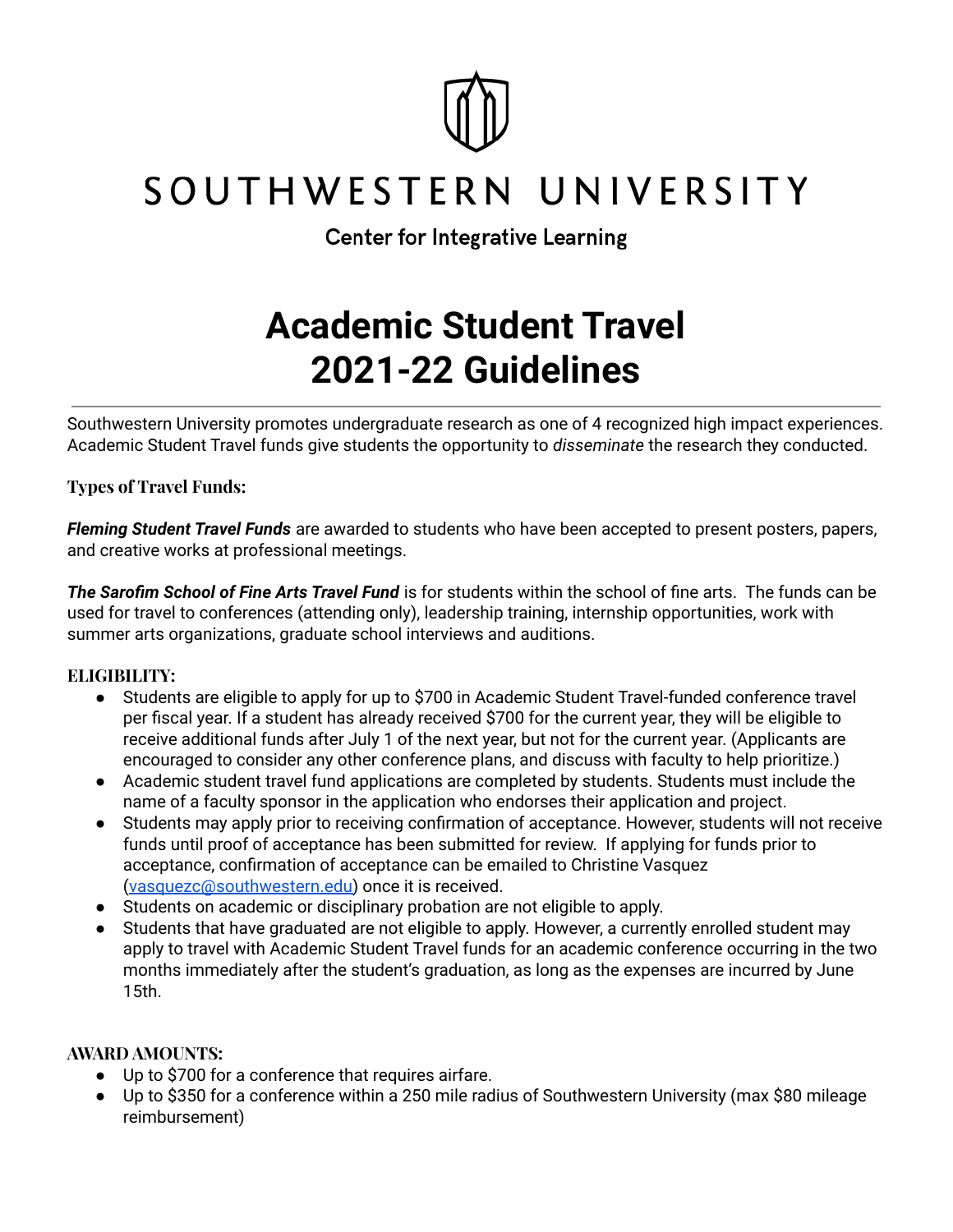

## SOUTHWESTERN UNIVERSITY

**Center for Integrative Learning** 

# **Academic Student Travel 2021-22 Guidelines**

Southwestern University promotes undergraduate research as one of 4 recognized high impact experiences. Academic Student Travel funds give students the opportunity to *disseminate* the research they conducted.

**Types of Travel Funds:**

*Fleming Student Travel Funds* are awarded to students who have been accepted to present posters, papers, and creative works at professional meetings.

*The Sarofim School of Fine Arts Travel Fund* is for students within the school of fine arts. The funds can be used for travel to conferences (attending only), leadership training, internship opportunities, work with summer arts organizations, graduate school interviews and auditions.

## **ELIGIBILITY:**

- Students are eligible to apply for up to \$700 in Academic Student Travel-funded conference travel per fiscal year. If a student has already received \$700 for the current year, they will be eligible to receive additional funds after July 1 of the next year, but not for the current year. (Applicants are encouraged to consider any other conference plans, and discuss with faculty to help prioritize.)
- Academic student travel fund applications are completed by students. Students must include the name of a faculty sponsor in the application who endorses their application and project.
- Students may apply prior to receiving confirmation of acceptance. However, students will not receive funds until proof of acceptance has been submitted for review. If applying for funds prior to acceptance, confirmation of acceptance can be emailed to Christine Vasquez ([vasquezc@southwestern.edu\)](mailto:vasquezc@southwestern.edu) once it is received.
- Students on academic or disciplinary probation are not eligible to apply.
- Students that have graduated are not eligible to apply. However, a currently enrolled student may apply to travel with Academic Student Travel funds for an academic conference occurring in the two months immediately after the student's graduation, as long as the expenses are incurred by June 15th.

## **AWARD AMOUNTS:**

- Up to \$700 for a conference that requires airfare.
- Up to \$350 for a conference within a 250 mile radius of Southwestern University (max \$80 mileage reimbursement)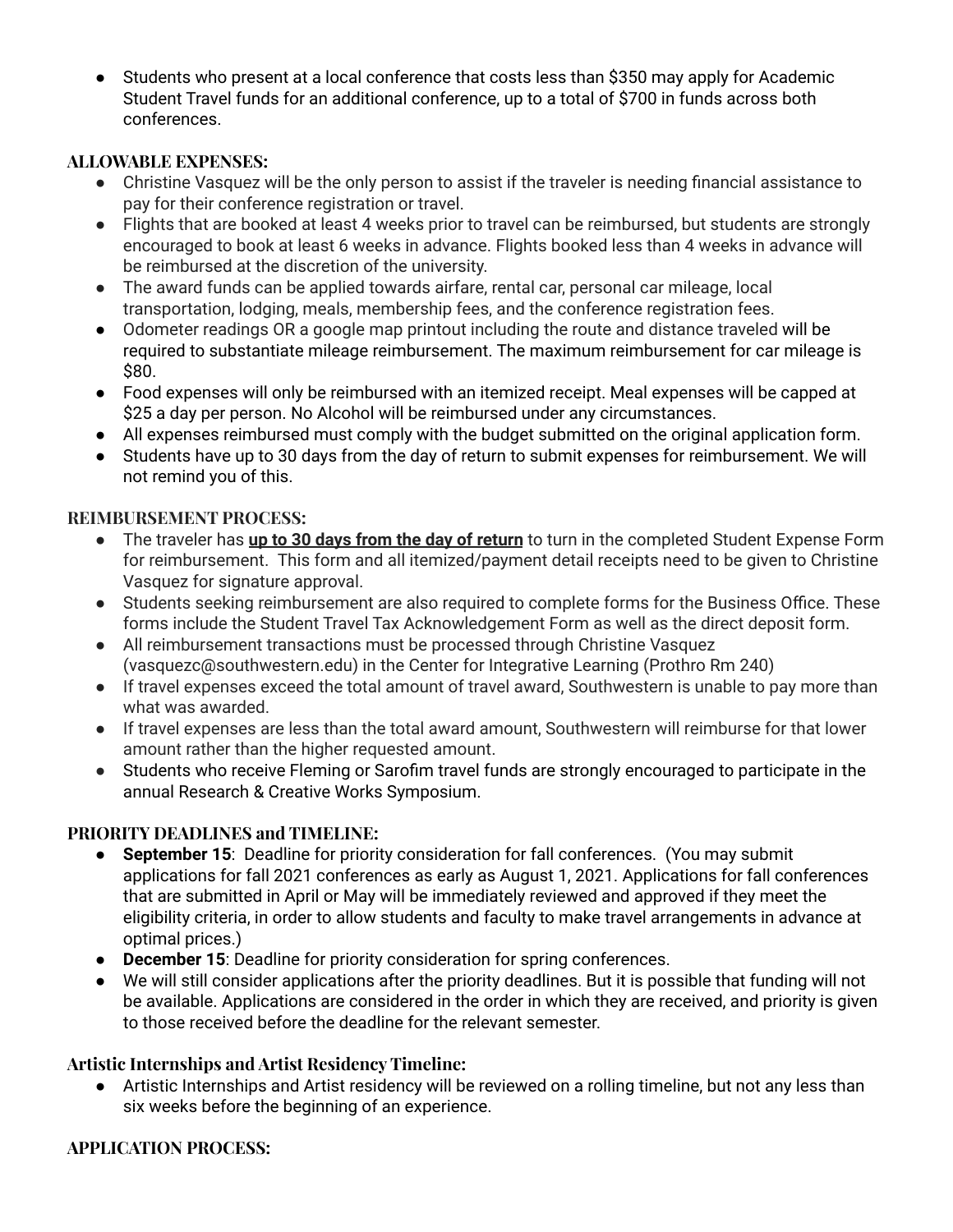● Students who present at a local conference that costs less than \$350 may apply for Academic Student Travel funds for an additional conference, up to a total of \$700 in funds across both conferences.

## **ALLOWABLE EXPENSES:**

- Christine Vasquez will be the only person to assist if the traveler is needing financial assistance to pay for their conference registration or travel.
- Flights that are booked at least 4 weeks prior to travel can be reimbursed, but students are strongly encouraged to book at least 6 weeks in advance. Flights booked less than 4 weeks in advance will be reimbursed at the discretion of the university.
- The award funds can be applied towards airfare, rental car, personal car mileage, local transportation, lodging, meals, membership fees, and the conference registration fees.
- Odometer readings OR a google map printout including the route and distance traveled will be required to substantiate mileage reimbursement. The maximum reimbursement for car mileage is \$80.
- Food expenses will only be reimbursed with an itemized receipt. Meal expenses will be capped at \$25 a day per person. No Alcohol will be reimbursed under any circumstances.
- All expenses reimbursed must comply with the budget submitted on the original application form.
- Students have up to 30 days from the day of return to submit expenses for reimbursement. We will not remind you of this.

#### **REIMBURSEMENT PROCESS:**

- The traveler has **up to 30 days from the day of return** to turn in the completed Student Expense Form for reimbursement. This form and all itemized/payment detail receipts need to be given to Christine Vasquez for signature approval.
- Students seeking reimbursement are also required to complete forms for the Business Office. These forms include the Student Travel Tax Acknowledgement Form as well as the direct deposit form.
- All reimbursement transactions must be processed through Christine Vasquez (vasquezc@southwestern.edu) in the Center for Integrative Learning (Prothro Rm 240)
- If travel expenses exceed the total amount of travel award, Southwestern is unable to pay more than what was awarded.
- If travel expenses are less than the total award amount, Southwestern will reimburse for that lower amount rather than the higher requested amount.
- Students who receive Fleming or Sarofim travel funds are strongly encouraged to participate in the annual Research & Creative Works Symposium.

## **PRIORITY DEADLINES and TIMELINE:**

- **September 15**: Deadline for priority consideration for fall conferences. (You may submit applications for fall 2021 conferences as early as August 1, 2021. Applications for fall conferences that are submitted in April or May will be immediately reviewed and approved if they meet the eligibility criteria, in order to allow students and faculty to make travel arrangements in advance at optimal prices.)
- **December 15**: Deadline for priority consideration for spring conferences.
- We will still consider applications after the priority deadlines. But it is possible that funding will not be available. Applications are considered in the order in which they are received, and priority is given to those received before the deadline for the relevant semester.

## **Artistic Internships and Artist Residency Timeline:**

● Artistic Internships and Artist residency will be reviewed on a rolling timeline, but not any less than six weeks before the beginning of an experience.

## **APPLICATION PROCESS:**